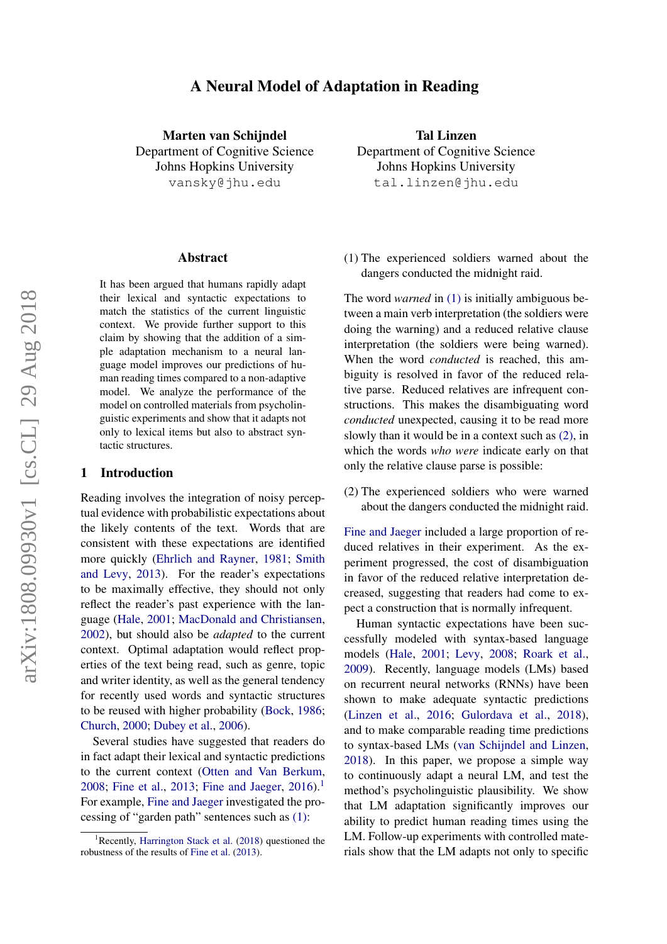# A Neural Model of Adaptation in Reading

Marten van Schijndel Department of Cognitive Science Johns Hopkins University vansky@jhu.edu

#### Abstract

It has been argued that humans rapidly adapt their lexical and syntactic expectations to match the statistics of the current linguistic context. We provide further support to this claim by showing that the addition of a simple adaptation mechanism to a neural language model improves our predictions of human reading times compared to a non-adaptive model. We analyze the performance of the model on controlled materials from psycholinguistic experiments and show that it adapts not only to lexical items but also to abstract syntactic structures.

#### 1 Introduction

Reading involves the integration of noisy perceptual evidence with probabilistic expectations about the likely contents of the text. Words that are consistent with these expectations are identified more quickly [\(Ehrlich and Rayner,](#page-5-0) [1981;](#page-5-0) [Smith](#page-6-0) [and Levy,](#page-6-0) [2013\)](#page-6-0). For the reader's expectations to be maximally effective, they should not only reflect the reader's past experience with the language [\(Hale,](#page-5-1) [2001;](#page-5-1) [MacDonald and Christiansen,](#page-6-1) [2002\)](#page-6-1), but should also be *adapted* to the current context. Optimal adaptation would reflect properties of the text being read, such as genre, topic and writer identity, as well as the general tendency for recently used words and syntactic structures to be reused with higher probability [\(Bock,](#page-5-2) [1986;](#page-5-2) [Church,](#page-5-3) [2000;](#page-5-3) [Dubey et al.,](#page-5-4) [2006\)](#page-5-4).

Several studies have suggested that readers do in fact adapt their lexical and syntactic predictions to the current context [\(Otten and Van Berkum,](#page-6-2) [2008;](#page-6-2) [Fine et al.,](#page-5-5) [2013;](#page-5-5) [Fine and Jaeger,](#page-5-6)  $2016$  $2016$  $2016$ .<sup>1</sup> For example, [Fine and Jaeger](#page-5-6) investigated the processing of "garden path" sentences such as [\(1\):](#page-0-1)

Tal Linzen Department of Cognitive Science Johns Hopkins University tal.linzen@jhu.edu

(1) The experienced soldiers warned about the dangers conducted the midnight raid.

The word *warned* in [\(1\)](#page-0-1) is initially ambiguous between a main verb interpretation (the soldiers were doing the warning) and a reduced relative clause interpretation (the soldiers were being warned). When the word *conducted* is reached, this ambiguity is resolved in favor of the reduced relative parse. Reduced relatives are infrequent constructions. This makes the disambiguating word *conducted* unexpected, causing it to be read more slowly than it would be in a context such as [\(2\),](#page-0-2) in which the words *who were* indicate early on that only the relative clause parse is possible:

<span id="page-0-2"></span>(2) The experienced soldiers who were warned about the dangers conducted the midnight raid.

[Fine and Jaeger](#page-5-6) included a large proportion of reduced relatives in their experiment. As the experiment progressed, the cost of disambiguation in favor of the reduced relative interpretation decreased, suggesting that readers had come to expect a construction that is normally infrequent.

Human syntactic expectations have been successfully modeled with syntax-based language models [\(Hale,](#page-5-1) [2001;](#page-5-1) [Levy,](#page-5-8) [2008;](#page-5-8) [Roark et al.,](#page-6-3) [2009\)](#page-6-3). Recently, language models (LMs) based on recurrent neural networks (RNNs) have been shown to make adequate syntactic predictions [\(Linzen et al.,](#page-6-4) [2016;](#page-6-4) [Gulordava et al.,](#page-5-9) [2018\)](#page-5-9), and to make comparable reading time predictions to syntax-based LMs [\(van Schijndel and Linzen,](#page-6-5) [2018\)](#page-6-5). In this paper, we propose a simple way to continuously adapt a neural LM, and test the method's psycholinguistic plausibility. We show that LM adaptation significantly improves our ability to predict human reading times using the LM. Follow-up experiments with controlled materials show that the LM adapts not only to specific

<span id="page-0-1"></span><span id="page-0-0"></span><sup>&</sup>lt;sup>1</sup>Recently, [Harrington Stack et al.](#page-5-7) [\(2018\)](#page-5-7) questioned the robustness of the results of [Fine et al.](#page-5-5) [\(2013\)](#page-5-5).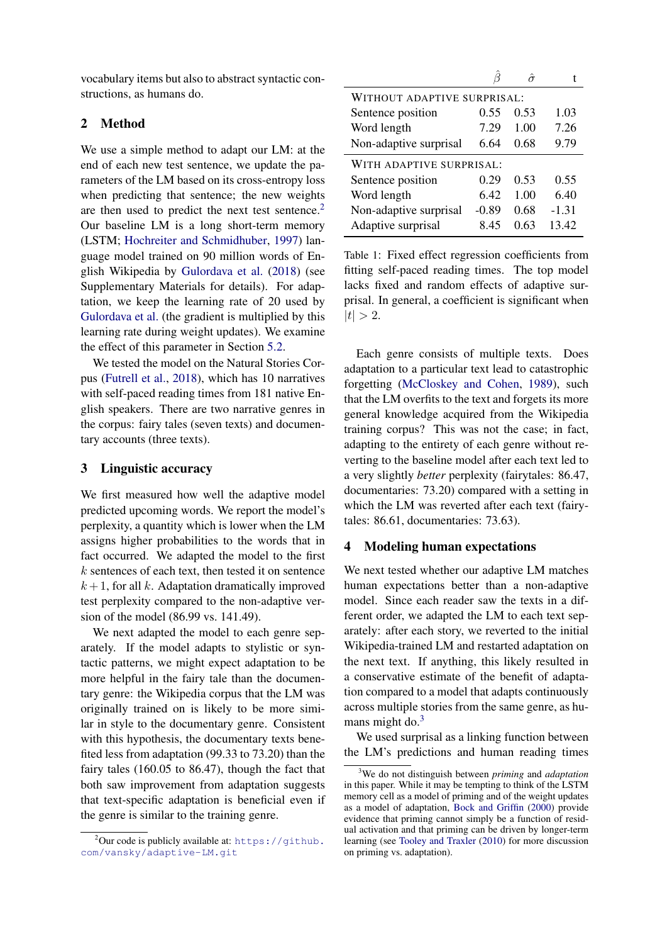vocabulary items but also to abstract syntactic constructions, as humans do.

## 2 Method

We use a simple method to adapt our LM: at the end of each new test sentence, we update the parameters of the LM based on its cross-entropy loss when predicting that sentence; the new weights are then used to predict the next test sentence.<sup>[2](#page-1-0)</sup> Our baseline LM is a long short-term memory (LSTM; [Hochreiter and Schmidhuber,](#page-5-10) [1997\)](#page-5-10) language model trained on 90 million words of English Wikipedia by [Gulordava et al.](#page-5-9) [\(2018\)](#page-5-9) (see Supplementary Materials for details). For adaptation, we keep the learning rate of 20 used by [Gulordava et al.](#page-5-9) (the gradient is multiplied by this learning rate during weight updates). We examine the effect of this parameter in Section [5.2.](#page-3-0)

We tested the model on the Natural Stories Corpus [\(Futrell et al.,](#page-5-11) [2018\)](#page-5-11), which has 10 narratives with self-paced reading times from 181 native English speakers. There are two narrative genres in the corpus: fairy tales (seven texts) and documentary accounts (three texts).

### 3 Linguistic accuracy

We first measured how well the adaptive model predicted upcoming words. We report the model's perplexity, a quantity which is lower when the LM assigns higher probabilities to the words that in fact occurred. We adapted the model to the first k sentences of each text, then tested it on sentence  $k + 1$ , for all k. Adaptation dramatically improved test perplexity compared to the non-adaptive version of the model (86.99 vs. 141.49).

We next adapted the model to each genre separately. If the model adapts to stylistic or syntactic patterns, we might expect adaptation to be more helpful in the fairy tale than the documentary genre: the Wikipedia corpus that the LM was originally trained on is likely to be more similar in style to the documentary genre. Consistent with this hypothesis, the documentary texts benefited less from adaptation (99.33 to 73.20) than the fairy tales (160.05 to 86.47), though the fact that both saw improvement from adaptation suggests that text-specific adaptation is beneficial even if the genre is similar to the training genre.

<span id="page-1-2"></span>

| WITHOUT ADAPTIVE SURPRISAL: |         |      |         |
|-----------------------------|---------|------|---------|
| Sentence position           | 0.55    | 0.53 | 1.03    |
| Word length                 | 7.29    | 1.00 | 7.26    |
| Non-adaptive surprisal      | 6.64    | 0.68 | 9.79    |
| WITH ADAPTIVE SURPRISAL:    |         |      |         |
| Sentence position           | 0.29    | 0.53 | 0.55    |
| Word length                 | 6.42    | 1.00 | 6.40    |
| Non-adaptive surprisal      | $-0.89$ | 0.68 | $-1.31$ |
| Adaptive surprisal          | 8.45    | 0.63 | 13.42   |

Table 1: Fixed effect regression coefficients from fitting self-paced reading times. The top model lacks fixed and random effects of adaptive surprisal. In general, a coefficient is significant when  $|t| > 2.$ 

Each genre consists of multiple texts. Does adaptation to a particular text lead to catastrophic forgetting [\(McCloskey and Cohen,](#page-6-6) [1989\)](#page-6-6), such that the LM overfits to the text and forgets its more general knowledge acquired from the Wikipedia training corpus? This was not the case; in fact, adapting to the entirety of each genre without reverting to the baseline model after each text led to a very slightly *better* perplexity (fairytales: 86.47, documentaries: 73.20) compared with a setting in which the LM was reverted after each text (fairytales: 86.61, documentaries: 73.63).

#### 4 Modeling human expectations

We next tested whether our adaptive LM matches human expectations better than a non-adaptive model. Since each reader saw the texts in a different order, we adapted the LM to each text separately: after each story, we reverted to the initial Wikipedia-trained LM and restarted adaptation on the next text. If anything, this likely resulted in a conservative estimate of the benefit of adaptation compared to a model that adapts continuously across multiple stories from the same genre, as hu-mans might do.<sup>[3](#page-1-1)</sup>

We used surprisal as a linking function between the LM's predictions and human reading times

<span id="page-1-0"></span><sup>&</sup>lt;sup>2</sup>Our code is publicly available at: [https://github.](https://github.com/vansky/adaptive-LM.git) [com/vansky/adaptive-LM.git](https://github.com/vansky/adaptive-LM.git)

<span id="page-1-1"></span><sup>3</sup>We do not distinguish between *priming* and *adaptation* in this paper. While it may be tempting to think of the LSTM memory cell as a model of priming and of the weight updates as a model of adaptation, [Bock and Griffin](#page-5-12) [\(2000\)](#page-5-12) provide evidence that priming cannot simply be a function of residual activation and that priming can be driven by longer-term learning (see [Tooley and Traxler](#page-6-7) [\(2010\)](#page-6-7) for more discussion on priming vs. adaptation).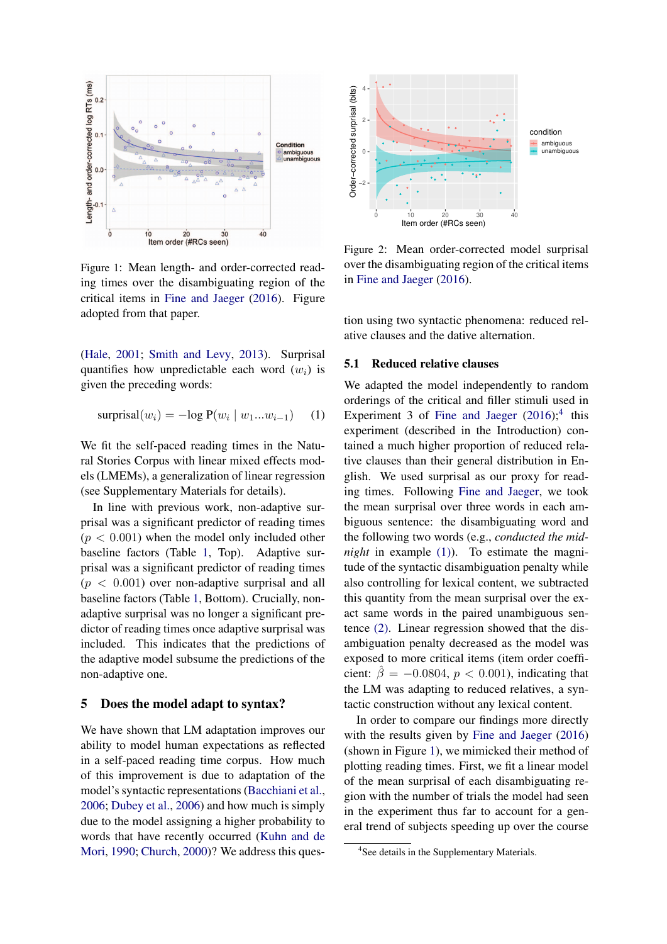<span id="page-2-1"></span>

Figure 1: Mean length- and order-corrected reading times over the disambiguating region of the critical items in [Fine and Jaeger](#page-5-6) [\(2016\)](#page-5-6). Figure adopted from that paper.

[\(Hale,](#page-5-1) [2001;](#page-5-1) [Smith and Levy,](#page-6-0) [2013\)](#page-6-0). Surprisal quantifies how unpredictable each word  $(w_i)$  is given the preceding words:

$$
surprisal(wi) = -log P(wi | w1...wi-1) (1)
$$

We fit the self-paced reading times in the Natural Stories Corpus with linear mixed effects models (LMEMs), a generalization of linear regression (see Supplementary Materials for details).

In line with previous work, non-adaptive surprisal was a significant predictor of reading times  $(p < 0.001)$  when the model only included other baseline factors (Table [1,](#page-1-2) Top). Adaptive surprisal was a significant predictor of reading times  $(p < 0.001)$  over non-adaptive surprisal and all baseline factors (Table [1,](#page-1-2) Bottom). Crucially, nonadaptive surprisal was no longer a significant predictor of reading times once adaptive surprisal was included. This indicates that the predictions of the adaptive model subsume the predictions of the non-adaptive one.

### 5 Does the model adapt to syntax?

We have shown that LM adaptation improves our ability to model human expectations as reflected in a self-paced reading time corpus. How much of this improvement is due to adaptation of the model's syntactic representations [\(Bacchiani et al.,](#page-5-13) [2006;](#page-5-13) [Dubey et al.,](#page-5-4) [2006\)](#page-5-4) and how much is simply due to the model assigning a higher probability to words that have recently occurred [\(Kuhn and de](#page-5-14) [Mori,](#page-5-14) [1990;](#page-5-14) [Church,](#page-5-3) [2000\)](#page-5-3)? We address this ques-

<span id="page-2-2"></span>

Figure 2: Mean order-corrected model surprisal over the disambiguating region of the critical items in [Fine and Jaeger](#page-5-6) [\(2016\)](#page-5-6).

tion using two syntactic phenomena: reduced relative clauses and the dative alternation.

### 5.1 Reduced relative clauses

We adapted the model independently to random orderings of the critical and filler stimuli used in Experiment 3 of [Fine and Jaeger](#page-5-6)  $(2016)$ ;<sup>[4](#page-2-0)</sup> this experiment (described in the Introduction) contained a much higher proportion of reduced relative clauses than their general distribution in English. We used surprisal as our proxy for reading times. Following [Fine and Jaeger,](#page-5-6) we took the mean surprisal over three words in each ambiguous sentence: the disambiguating word and the following two words (e.g., *conducted the midnight* in example [\(1\)\)](#page-0-1). To estimate the magnitude of the syntactic disambiguation penalty while also controlling for lexical content, we subtracted this quantity from the mean surprisal over the exact same words in the paired unambiguous sentence [\(2\).](#page-0-2) Linear regression showed that the disambiguation penalty decreased as the model was exposed to more critical items (item order coefficient:  $\hat{\beta} = -0.0804$ ,  $p < 0.001$ ), indicating that the LM was adapting to reduced relatives, a syntactic construction without any lexical content.

In order to compare our findings more directly with the results given by [Fine and Jaeger](#page-5-6) [\(2016\)](#page-5-6) (shown in Figure [1\)](#page-2-1), we mimicked their method of plotting reading times. First, we fit a linear model of the mean surprisal of each disambiguating region with the number of trials the model had seen in the experiment thus far to account for a general trend of subjects speeding up over the course

<span id="page-2-0"></span><sup>4</sup> See details in the Supplementary Materials.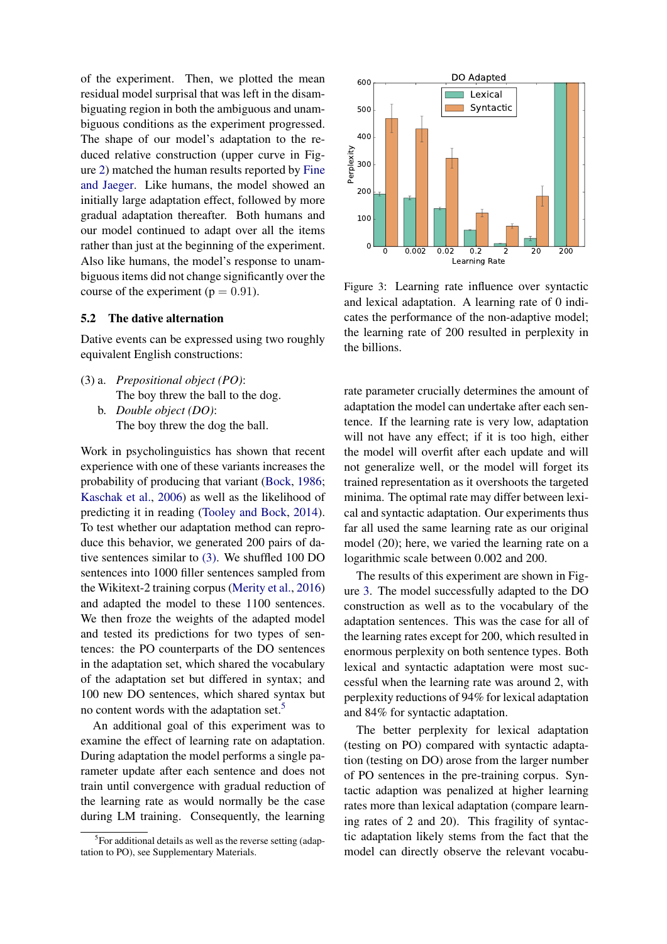of the experiment. Then, we plotted the mean residual model surprisal that was left in the disambiguating region in both the ambiguous and unambiguous conditions as the experiment progressed. The shape of our model's adaptation to the reduced relative construction (upper curve in Figure [2\)](#page-2-2) matched the human results reported by [Fine](#page-5-6) [and Jaeger.](#page-5-6) Like humans, the model showed an initially large adaptation effect, followed by more gradual adaptation thereafter. Both humans and our model continued to adapt over all the items rather than just at the beginning of the experiment. Also like humans, the model's response to unambiguous items did not change significantly over the course of the experiment ( $p = 0.91$ ).

### <span id="page-3-0"></span>5.2 The dative alternation

Dative events can be expressed using two roughly equivalent English constructions:

<span id="page-3-1"></span>(3) a. *Prepositional object (PO)*: The boy threw the ball to the dog. b. *Double object (DO)*: The boy threw the dog the ball.

Work in psycholinguistics has shown that recent experience with one of these variants increases the probability of producing that variant [\(Bock,](#page-5-2) [1986;](#page-5-2) [Kaschak et al.,](#page-5-15) [2006\)](#page-5-15) as well as the likelihood of predicting it in reading [\(Tooley and Bock,](#page-6-8) [2014\)](#page-6-8). To test whether our adaptation method can reproduce this behavior, we generated 200 pairs of dative sentences similar to [\(3\).](#page-3-1) We shuffled 100 DO sentences into 1000 filler sentences sampled from the Wikitext-2 training corpus [\(Merity et al.,](#page-6-9) [2016\)](#page-6-9) and adapted the model to these 1100 sentences. We then froze the weights of the adapted model and tested its predictions for two types of sentences: the PO counterparts of the DO sentences in the adaptation set, which shared the vocabulary of the adaptation set but differed in syntax; and 100 new DO sentences, which shared syntax but no content words with the adaptation set.<sup>[5](#page-3-2)</sup>

An additional goal of this experiment was to examine the effect of learning rate on adaptation. During adaptation the model performs a single parameter update after each sentence and does not train until convergence with gradual reduction of the learning rate as would normally be the case during LM training. Consequently, the learning

<span id="page-3-3"></span>

Figure 3: Learning rate influence over syntactic and lexical adaptation. A learning rate of 0 indicates the performance of the non-adaptive model; the learning rate of 200 resulted in perplexity in the billions.

rate parameter crucially determines the amount of adaptation the model can undertake after each sentence. If the learning rate is very low, adaptation will not have any effect; if it is too high, either the model will overfit after each update and will not generalize well, or the model will forget its trained representation as it overshoots the targeted minima. The optimal rate may differ between lexical and syntactic adaptation. Our experiments thus far all used the same learning rate as our original model (20); here, we varied the learning rate on a logarithmic scale between 0.002 and 200.

The results of this experiment are shown in Figure [3.](#page-3-3) The model successfully adapted to the DO construction as well as to the vocabulary of the adaptation sentences. This was the case for all of the learning rates except for 200, which resulted in enormous perplexity on both sentence types. Both lexical and syntactic adaptation were most successful when the learning rate was around 2, with perplexity reductions of 94% for lexical adaptation and 84% for syntactic adaptation.

The better perplexity for lexical adaptation (testing on PO) compared with syntactic adaptation (testing on DO) arose from the larger number of PO sentences in the pre-training corpus. Syntactic adaption was penalized at higher learning rates more than lexical adaptation (compare learning rates of 2 and 20). This fragility of syntactic adaptation likely stems from the fact that the model can directly observe the relevant vocabu-

<span id="page-3-2"></span><sup>&</sup>lt;sup>5</sup>For additional details as well as the reverse setting (adaptation to PO), see Supplementary Materials.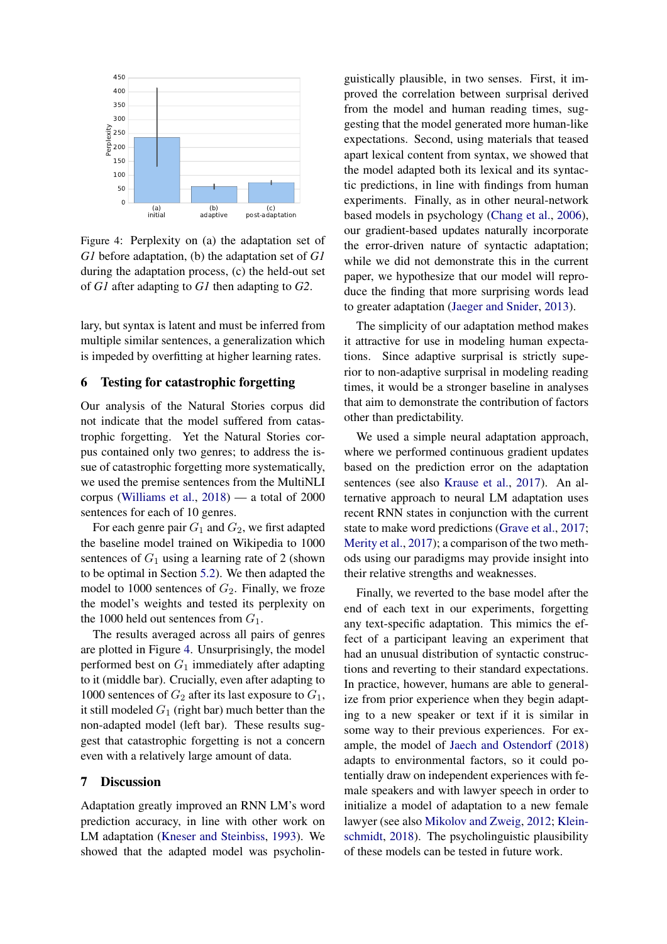<span id="page-4-0"></span>

Figure 4: Perplexity on (a) the adaptation set of *G1* before adaptation, (b) the adaptation set of *G1* during the adaptation process, (c) the held-out set of *G1* after adapting to *G1* then adapting to *G2*.

lary, but syntax is latent and must be inferred from multiple similar sentences, a generalization which is impeded by overfitting at higher learning rates.

#### 6 Testing for catastrophic forgetting

Our analysis of the Natural Stories corpus did not indicate that the model suffered from catastrophic forgetting. Yet the Natural Stories corpus contained only two genres; to address the issue of catastrophic forgetting more systematically, we used the premise sentences from the MultiNLI corpus [\(Williams et al.,](#page-6-10) [2018\)](#page-6-10) — a total of 2000 sentences for each of 10 genres.

For each genre pair  $G_1$  and  $G_2$ , we first adapted the baseline model trained on Wikipedia to 1000 sentences of  $G_1$  using a learning rate of 2 (shown to be optimal in Section [5.2\)](#page-3-0). We then adapted the model to 1000 sentences of  $G_2$ . Finally, we froze the model's weights and tested its perplexity on the 1000 held out sentences from  $G_1$ .

The results averaged across all pairs of genres are plotted in Figure [4.](#page-4-0) Unsurprisingly, the model performed best on  $G_1$  immediately after adapting to it (middle bar). Crucially, even after adapting to 1000 sentences of  $G_2$  after its last exposure to  $G_1$ , it still modeled  $G_1$  (right bar) much better than the non-adapted model (left bar). These results suggest that catastrophic forgetting is not a concern even with a relatively large amount of data.

#### 7 Discussion

Adaptation greatly improved an RNN LM's word prediction accuracy, in line with other work on LM adaptation [\(Kneser and Steinbiss,](#page-5-16) [1993\)](#page-5-16). We showed that the adapted model was psycholinguistically plausible, in two senses. First, it improved the correlation between surprisal derived from the model and human reading times, suggesting that the model generated more human-like expectations. Second, using materials that teased apart lexical content from syntax, we showed that the model adapted both its lexical and its syntactic predictions, in line with findings from human experiments. Finally, as in other neural-network based models in psychology [\(Chang et al.,](#page-5-17) [2006\)](#page-5-17), our gradient-based updates naturally incorporate the error-driven nature of syntactic adaptation; while we did not demonstrate this in the current paper, we hypothesize that our model will reproduce the finding that more surprising words lead to greater adaptation [\(Jaeger and Snider,](#page-5-18) [2013\)](#page-5-18).

The simplicity of our adaptation method makes it attractive for use in modeling human expectations. Since adaptive surprisal is strictly superior to non-adaptive surprisal in modeling reading times, it would be a stronger baseline in analyses that aim to demonstrate the contribution of factors other than predictability.

We used a simple neural adaptation approach, where we performed continuous gradient updates based on the prediction error on the adaptation sentences (see also [Krause et al.,](#page-5-19) [2017\)](#page-5-19). An alternative approach to neural LM adaptation uses recent RNN states in conjunction with the current state to make word predictions [\(Grave et al.,](#page-5-20) [2017;](#page-5-20) [Merity et al.,](#page-6-11) [2017\)](#page-6-11); a comparison of the two methods using our paradigms may provide insight into their relative strengths and weaknesses.

Finally, we reverted to the base model after the end of each text in our experiments, forgetting any text-specific adaptation. This mimics the effect of a participant leaving an experiment that had an unusual distribution of syntactic constructions and reverting to their standard expectations. In practice, however, humans are able to generalize from prior experience when they begin adapting to a new speaker or text if it is similar in some way to their previous experiences. For example, the model of [Jaech and Ostendorf](#page-5-21) [\(2018\)](#page-5-21) adapts to environmental factors, so it could potentially draw on independent experiences with female speakers and with lawyer speech in order to initialize a model of adaptation to a new female lawyer (see also [Mikolov and Zweig,](#page-6-12) [2012;](#page-6-12) [Klein](#page-5-22)[schmidt,](#page-5-22) [2018\)](#page-5-22). The psycholinguistic plausibility of these models can be tested in future work.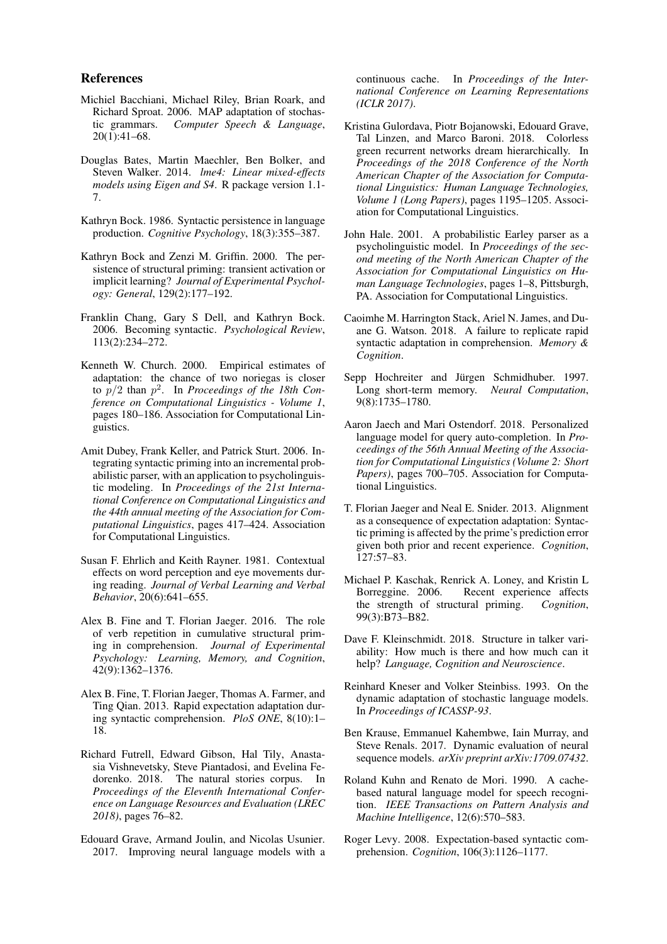#### References

- <span id="page-5-13"></span>Michiel Bacchiani, Michael Riley, Brian Roark, and Richard Sproat. 2006. MAP adaptation of stochastic grammars. *Computer Speech & Language*, 20(1):41–68.
- <span id="page-5-23"></span>Douglas Bates, Martin Maechler, Ben Bolker, and Steven Walker. 2014. *lme4: Linear mixed-effects models using Eigen and S4*. R package version 1.1- 7.
- <span id="page-5-2"></span>Kathryn Bock. 1986. Syntactic persistence in language production. *Cognitive Psychology*, 18(3):355–387.
- <span id="page-5-12"></span>Kathryn Bock and Zenzi M. Griffin. 2000. The persistence of structural priming: transient activation or implicit learning? *Journal of Experimental Psychology: General*, 129(2):177–192.
- <span id="page-5-17"></span>Franklin Chang, Gary S Dell, and Kathryn Bock. 2006. Becoming syntactic. *Psychological Review*, 113(2):234–272.
- <span id="page-5-3"></span>Kenneth W. Church. 2000. Empirical estimates of adaptation: the chance of two noriegas is closer to p/2 than p 2 . In *Proceedings of the 18th Conference on Computational Linguistics - Volume 1*, pages 180–186. Association for Computational Linguistics.
- <span id="page-5-4"></span>Amit Dubey, Frank Keller, and Patrick Sturt. 2006. Integrating syntactic priming into an incremental probabilistic parser, with an application to psycholinguistic modeling. In *Proceedings of the 21st International Conference on Computational Linguistics and the 44th annual meeting of the Association for Computational Linguistics*, pages 417–424. Association for Computational Linguistics.
- <span id="page-5-0"></span>Susan F. Ehrlich and Keith Rayner. 1981. Contextual effects on word perception and eye movements during reading. *Journal of Verbal Learning and Verbal Behavior*, 20(6):641–655.
- <span id="page-5-6"></span>Alex B. Fine and T. Florian Jaeger. 2016. The role of verb repetition in cumulative structural priming in comprehension. *Journal of Experimental Psychology: Learning, Memory, and Cognition*, 42(9):1362–1376.
- <span id="page-5-5"></span>Alex B. Fine, T. Florian Jaeger, Thomas A. Farmer, and Ting Qian. 2013. Rapid expectation adaptation during syntactic comprehension. *PloS ONE*, 8(10):1– 18.
- <span id="page-5-11"></span>Richard Futrell, Edward Gibson, Hal Tily, Anastasia Vishnevetsky, Steve Piantadosi, and Evelina Fedorenko. 2018. The natural stories corpus. In *Proceedings of the Eleventh International Conference on Language Resources and Evaluation (LREC 2018)*, pages 76–82.
- <span id="page-5-20"></span>Edouard Grave, Armand Joulin, and Nicolas Usunier. 2017. Improving neural language models with a

continuous cache. In *Proceedings of the International Conference on Learning Representations (ICLR 2017)*.

- <span id="page-5-9"></span>Kristina Gulordava, Piotr Bojanowski, Edouard Grave, Tal Linzen, and Marco Baroni. 2018. Colorless green recurrent networks dream hierarchically. In *Proceedings of the 2018 Conference of the North American Chapter of the Association for Computational Linguistics: Human Language Technologies, Volume 1 (Long Papers)*, pages 1195–1205. Association for Computational Linguistics.
- <span id="page-5-1"></span>John Hale. 2001. A probabilistic Earley parser as a psycholinguistic model. In *Proceedings of the second meeting of the North American Chapter of the Association for Computational Linguistics on Human Language Technologies*, pages 1–8, Pittsburgh, PA. Association for Computational Linguistics.
- <span id="page-5-7"></span>Caoimhe M. Harrington Stack, Ariel N. James, and Duane G. Watson. 2018. A failure to replicate rapid syntactic adaptation in comprehension. *Memory & Cognition*.
- <span id="page-5-10"></span>Sepp Hochreiter and Jürgen Schmidhuber. 1997. Long short-term memory. *Neural Computation*, 9(8):1735–1780.
- <span id="page-5-21"></span>Aaron Jaech and Mari Ostendorf. 2018. Personalized language model for query auto-completion. In *Proceedings of the 56th Annual Meeting of the Association for Computational Linguistics (Volume 2: Short Papers)*, pages 700–705. Association for Computational Linguistics.
- <span id="page-5-18"></span>T. Florian Jaeger and Neal E. Snider. 2013. Alignment as a consequence of expectation adaptation: Syntactic priming is affected by the prime's prediction error given both prior and recent experience. *Cognition*, 127:57–83.
- <span id="page-5-15"></span>Michael P. Kaschak, Renrick A. Loney, and Kristin L Borreggine. 2006. Recent experience affects the strength of structural priming. *Cognition*, 99(3):B73–B82.
- <span id="page-5-22"></span>Dave F. Kleinschmidt. 2018. Structure in talker variability: How much is there and how much can it help? *Language, Cognition and Neuroscience*.
- <span id="page-5-16"></span>Reinhard Kneser and Volker Steinbiss. 1993. On the dynamic adaptation of stochastic language models. In *Proceedings of ICASSP-93*.
- <span id="page-5-19"></span>Ben Krause, Emmanuel Kahembwe, Iain Murray, and Steve Renals. 2017. Dynamic evaluation of neural sequence models. *arXiv preprint arXiv:1709.07432*.
- <span id="page-5-14"></span>Roland Kuhn and Renato de Mori. 1990. A cachebased natural language model for speech recognition. *IEEE Transactions on Pattern Analysis and Machine Intelligence*, 12(6):570–583.
- <span id="page-5-8"></span>Roger Levy. 2008. Expectation-based syntactic comprehension. *Cognition*, 106(3):1126–1177.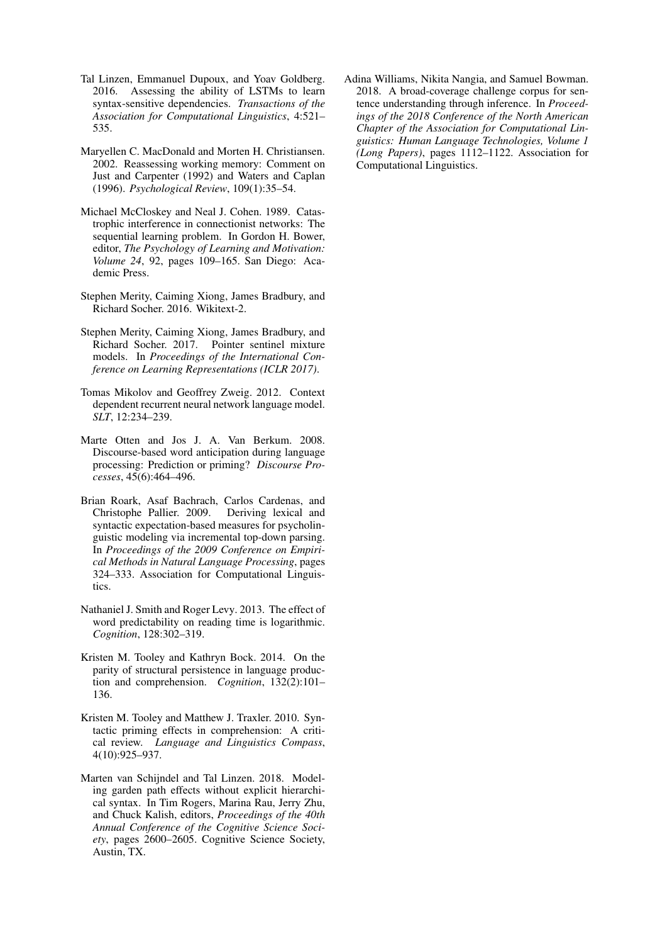- <span id="page-6-4"></span>Tal Linzen, Emmanuel Dupoux, and Yoav Goldberg. 2016. Assessing the ability of LSTMs to learn syntax-sensitive dependencies. *Transactions of the Association for Computational Linguistics*, 4:521– 535.
- <span id="page-6-1"></span>Maryellen C. MacDonald and Morten H. Christiansen. 2002. Reassessing working memory: Comment on Just and Carpenter (1992) and Waters and Caplan (1996). *Psychological Review*, 109(1):35–54.
- <span id="page-6-6"></span>Michael McCloskey and Neal J. Cohen. 1989. Catastrophic interference in connectionist networks: The sequential learning problem. In Gordon H. Bower, editor, *The Psychology of Learning and Motivation: Volume 24*, 92, pages 109–165. San Diego: Academic Press.
- <span id="page-6-9"></span>Stephen Merity, Caiming Xiong, James Bradbury, and Richard Socher. 2016. Wikitext-2.
- <span id="page-6-11"></span>Stephen Merity, Caiming Xiong, James Bradbury, and Richard Socher. 2017. Pointer sentinel mixture models. In *Proceedings of the International Conference on Learning Representations (ICLR 2017)*.
- <span id="page-6-12"></span>Tomas Mikolov and Geoffrey Zweig. 2012. Context dependent recurrent neural network language model. *SLT*, 12:234–239.
- <span id="page-6-2"></span>Marte Otten and Jos J. A. Van Berkum. 2008. Discourse-based word anticipation during language processing: Prediction or priming? *Discourse Processes*, 45(6):464–496.
- <span id="page-6-3"></span>Brian Roark, Asaf Bachrach, Carlos Cardenas, and Christophe Pallier. 2009. Deriving lexical and syntactic expectation-based measures for psycholinguistic modeling via incremental top-down parsing. In *Proceedings of the 2009 Conference on Empirical Methods in Natural Language Processing*, pages 324–333. Association for Computational Linguistics.
- <span id="page-6-0"></span>Nathaniel J. Smith and Roger Levy. 2013. The effect of word predictability on reading time is logarithmic. *Cognition*, 128:302–319.
- <span id="page-6-8"></span>Kristen M. Tooley and Kathryn Bock. 2014. On the parity of structural persistence in language production and comprehension. *Cognition*, 132(2):101– 136.
- <span id="page-6-7"></span>Kristen M. Tooley and Matthew J. Traxler. 2010. Syntactic priming effects in comprehension: A critical review. *Language and Linguistics Compass*, 4(10):925–937.
- <span id="page-6-5"></span>Marten van Schijndel and Tal Linzen. 2018. Modeling garden path effects without explicit hierarchical syntax. In Tim Rogers, Marina Rau, Jerry Zhu, and Chuck Kalish, editors, *Proceedings of the 40th Annual Conference of the Cognitive Science Society*, pages 2600–2605. Cognitive Science Society, Austin, TX.

<span id="page-6-10"></span>Adina Williams, Nikita Nangia, and Samuel Bowman. 2018. A broad-coverage challenge corpus for sentence understanding through inference. In *Proceedings of the 2018 Conference of the North American Chapter of the Association for Computational Linguistics: Human Language Technologies, Volume 1 (Long Papers)*, pages 1112–1122. Association for Computational Linguistics.